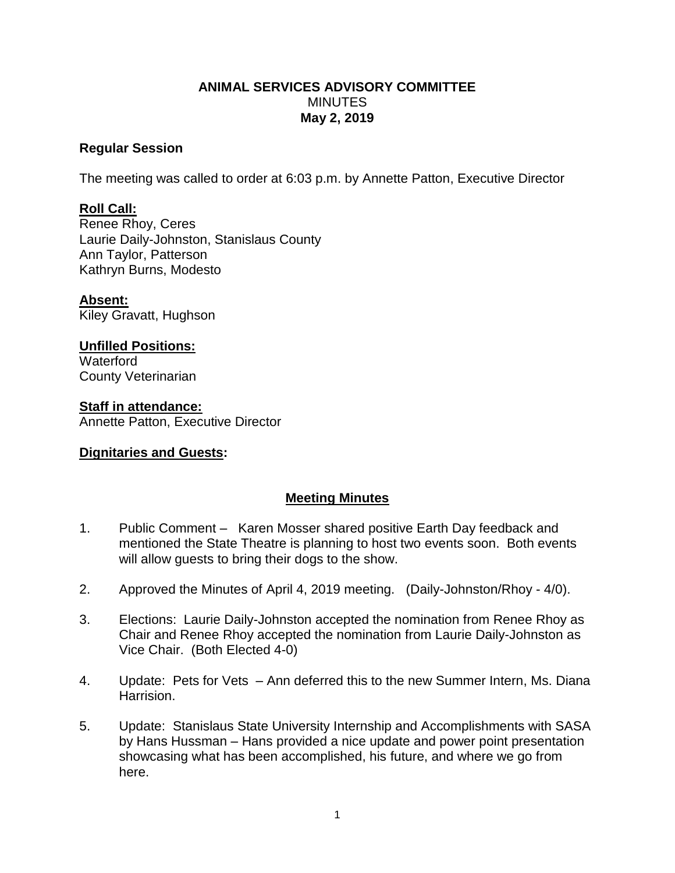#### **ANIMAL SERVICES ADVISORY COMMITTEE MINUTES May 2, 2019**

#### **Regular Session**

The meeting was called to order at 6:03 p.m. by Annette Patton, Executive Director

# **Roll Call:**

Renee Rhoy, Ceres Laurie Daily-Johnston, Stanislaus County Ann Taylor, Patterson Kathryn Burns, Modesto

**Absent:** Kiley Gravatt, Hughson

### **Unfilled Positions:**

**Waterford** County Veterinarian

**Staff in attendance:** Annette Patton, Executive Director

# **Dignitaries and Guests:**

# **Meeting Minutes**

- 1. Public Comment Karen Mosser shared positive Earth Day feedback and mentioned the State Theatre is planning to host two events soon. Both events will allow guests to bring their dogs to the show.
- 2. Approved the Minutes of April 4, 2019 meeting. (Daily-Johnston/Rhoy 4/0).
- 3. Elections: Laurie Daily-Johnston accepted the nomination from Renee Rhoy as Chair and Renee Rhoy accepted the nomination from Laurie Daily-Johnston as Vice Chair. (Both Elected 4-0)
- 4. Update: Pets for Vets Ann deferred this to the new Summer Intern, Ms. Diana Harrision.
- 5. Update: Stanislaus State University Internship and Accomplishments with SASA by Hans Hussman – Hans provided a nice update and power point presentation showcasing what has been accomplished, his future, and where we go from here.